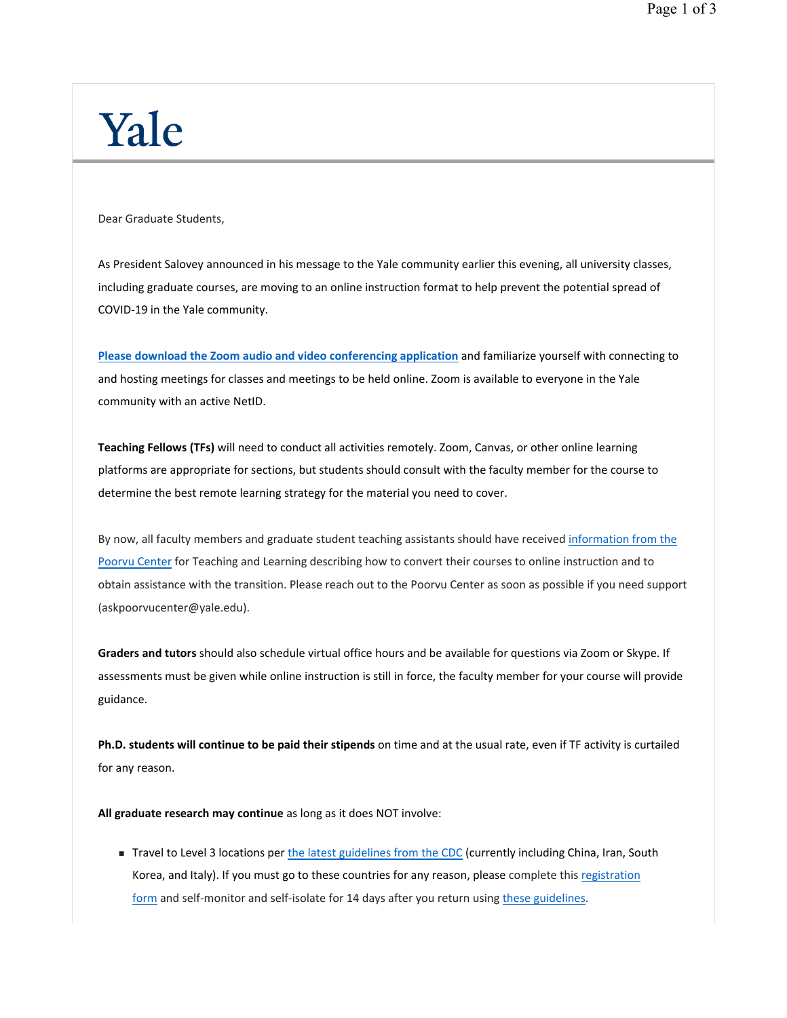## Yale

Dear Graduate Students,

As President Salovey announced in his message to the Yale community earlier this evening, all university classes, including graduate courses, are moving to an online instruction format to help prevent the potential spread of COVID-19 in the Yale community.

**Please download the Zoom audio and video conferencing application** and familiarize yourself with connecting to and hosting meetings for classes and meetings to be held online. Zoom is available to everyone in the Yale community with an active NetID.

**Teaching Fellows (TFs)** will need to conduct all activities remotely. Zoom, Canvas, or other online learning platforms are appropriate for sections, but students should consult with the faculty member for the course to determine the best remote learning strategy for the material you need to cover.

By now, all faculty members and graduate student teaching assistants should have received information from the Poorvu Center for Teaching and Learning describing how to convert their courses to online instruction and to obtain assistance with the transition. Please reach out to the Poorvu Center as soon as possible if you need support (askpoorvucenter@yale.edu).

**Graders and tutors** should also schedule virtual office hours and be available for questions via Zoom or Skype. If assessments must be given while online instruction is still in force, the faculty member for your course will provide guidance.

**Ph.D. students will continue to be paid their stipends** on time and at the usual rate, even if TF activity is curtailed for any reason.

**All graduate research may continue** as long as it does NOT involve:

Travel to Level 3 locations per the latest guidelines from the CDC (currently including China, Iran, South Korea, and Italy). If you must go to these countries for any reason, please complete this registration form and self-monitor and self-isolate for 14 days after you return using these guidelines.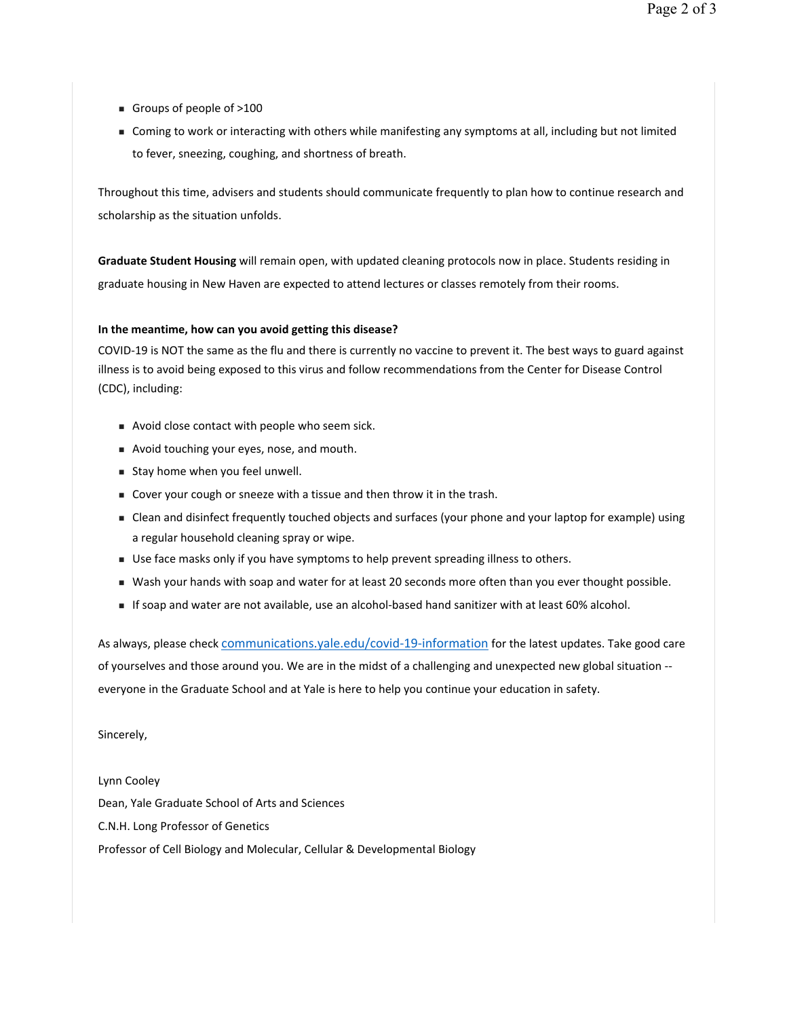- Groups of people of  $>100$
- Coming to work or interacting with others while manifesting any symptoms at all, including but not limited to fever, sneezing, coughing, and shortness of breath.

Throughout this time, advisers and students should communicate frequently to plan how to continue research and scholarship as the situation unfolds.

**Graduate Student Housing** will remain open, with updated cleaning protocols now in place. Students residing in graduate housing in New Haven are expected to attend lectures or classes remotely from their rooms.

## **In the meantime, how can you avoid getting this disease?**

COVID-19 is NOT the same as the flu and there is currently no vaccine to prevent it. The best ways to guard against illness is to avoid being exposed to this virus and follow recommendations from the Center for Disease Control (CDC), including:

- Avoid close contact with people who seem sick.
- Avoid touching your eyes, nose, and mouth.
- Stay home when you feel unwell.
- Cover your cough or sneeze with a tissue and then throw it in the trash.
- Clean and disinfect frequently touched objects and surfaces (your phone and your laptop for example) using a regular household cleaning spray or wipe.
- Use face masks only if you have symptoms to help prevent spreading illness to others.
- Wash your hands with soap and water for at least 20 seconds more often than you ever thought possible.
- If soap and water are not available, use an alcohol-based hand sanitizer with at least 60% alcohol.

As always, please check communications.yale.edu/covid-19-information for the latest updates. Take good care of yourselves and those around you. We are in the midst of a challenging and unexpected new global situation - everyone in the Graduate School and at Yale is here to help you continue your education in safety.

## Sincerely,

Lynn Cooley Dean, Yale Graduate School of Arts and Sciences C.N.H. Long Professor of Genetics Professor of Cell Biology and Molecular, Cellular & Developmental Biology